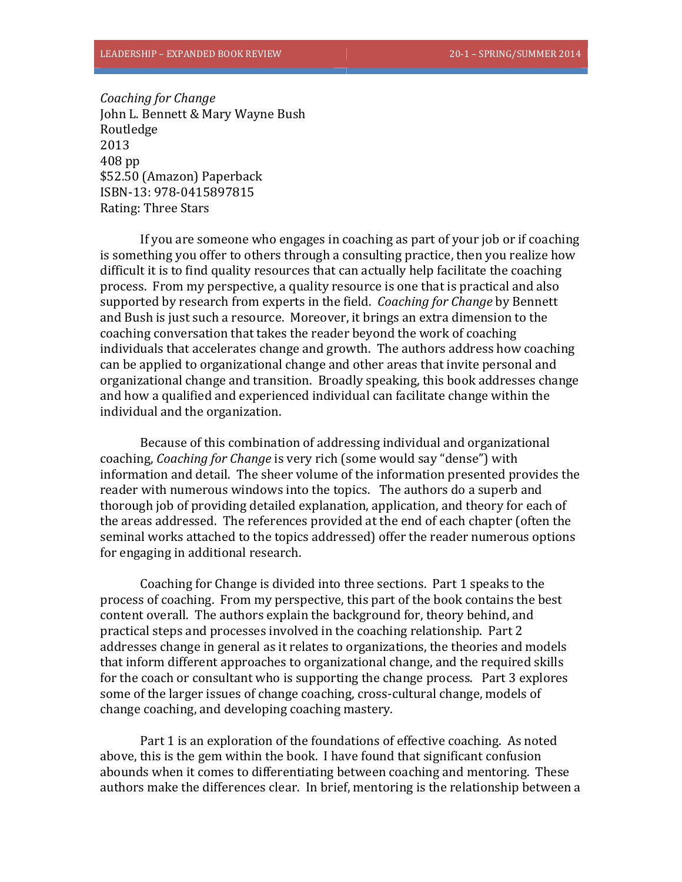*Coaching for Change* John L. Bennett & Mary Wayne Bush Routledge 2013 408 pp \$52.50 (Amazon) Paperback ISBN‐13: 978‐0415897815 Rating: Three Stars

If you are someone who engages in coaching as part of your job or if coaching is something you offer to others through a consulting practice, then you realize how difficult it is to find quality resources that can actually help facilitate the coaching process. From my perspective, a quality resource is one that is practical and also supported by research from experts in the field. *Coaching for Change* by Bennett and Bush is just such a resource. Moreover, it brings an extra dimension to the coaching conversation that takes the reader beyond the work of coaching individuals that accelerates change and growth. The authors address how coaching can be applied to organizational change and other areas that invite personal and organizational change and transition. Broadly speaking, this book addresses change and how a qualified and experienced individual can facilitate change within the individual and the organization.

Because of this combination of addressing individual and organizational coaching, *Coaching for Change* is very rich (some would say "dense") with information and detail. The sheer volume of the information presented provides the reader with numerous windows into the topics. The authors do a superb and thorough job of providing detailed explanation, application, and theory for each of the areas addressed. The references provided at the end of each chapter (often the seminal works attached to the topics addressed) offer the reader numerous options for engaging in additional research.

Coaching for Change is divided into three sections. Part 1 speaks to the process of coaching. From my perspective, this part of the book contains the best content overall. The authors explain the background for, theory behind, and practical steps and processes involved in the coaching relationship. Part 2 addresses change in general as it relates to organizations, the theories and models that inform different approaches to organizational change, and the required skills for the coach or consultant who is supporting the change process. Part 3 explores some of the larger issues of change coaching, cross-cultural change, models of change coaching, and developing coaching mastery.

Part 1 is an exploration of the foundations of effective coaching. As noted above, this is the gem within the book. I have found that significant confusion abounds when it comes to differentiating between coaching and mentoring. These authors make the differences clear. In brief, mentoring is the relationship between a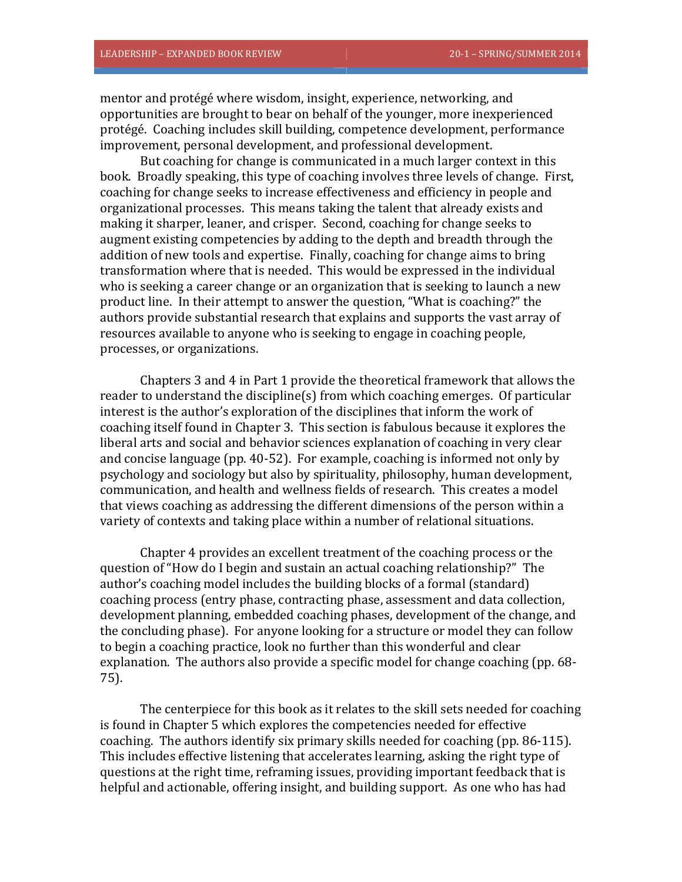mentor and protégé where wisdom, insight, experience, networking, and opportunities are brought to bear on behalf of the younger, more inexperienced protégé. Coaching includes skill building, competence development, performance improvement, personal development, and professional development.

But coaching for change is communicated in a much larger context in this book. Broadly speaking, this type of coaching involves three levels of change. First, coaching for change seeks to increase effectiveness and efficiency in people and organizational processes. This means taking the talent that already exists and making it sharper, leaner, and crisper. Second, coaching for change seeks to augment existing competencies by adding to the depth and breadth through the addition of new tools and expertise. Finally, coaching for change aims to bring transformation where that is needed. This would be expressed in the individual who is seeking a career change or an organization that is seeking to launch a new product line. In their attempt to answer the question, "What is coaching?" the authors provide substantial research that explains and supports the vast array of resources available to anyone who is seeking to engage in coaching people, processes, or organizations.

Chapters 3 and 4 in Part 1 provide the theoretical framework that allows the reader to understand the discipline(s) from which coaching emerges. Of particular interest is the author's exploration of the disciplines that inform the work of coaching itself found in Chapter 3. This section is fabulous because it explores the liberal arts and social and behavior sciences explanation of coaching in very clear and concise language (pp. 40-52). For example, coaching is informed not only by psychology and sociology but also by spirituality, philosophy, human development, communication, and health and wellness fields of research. This creates a model that views coaching as addressing the different dimensions of the person within a variety of contexts and taking place within a number of relational situations.

Chapter 4 provides an excellent treatment of the coaching process or the question of "How do I begin and sustain an actual coaching relationship?" The author's coaching model includes the building blocks of a formal (standard) coaching process (entry phase, contracting phase, assessment and data collection, development planning, embedded coaching phases, development of the change, and the concluding phase). For anyone looking for a structure or model they can follow to begin a coaching practice, look no further than this wonderful and clear explanation. The authors also provide a specific model for change coaching (pp. 68– 75). 

The centerpiece for this book as it relates to the skill sets needed for coaching is found in Chapter 5 which explores the competencies needed for effective coaching. The authors identify six primary skills needed for coaching  $(pp. 86-115)$ . This includes effective listening that accelerates learning, asking the right type of questions at the right time, reframing issues, providing important feedback that is helpful and actionable, offering insight, and building support. As one who has had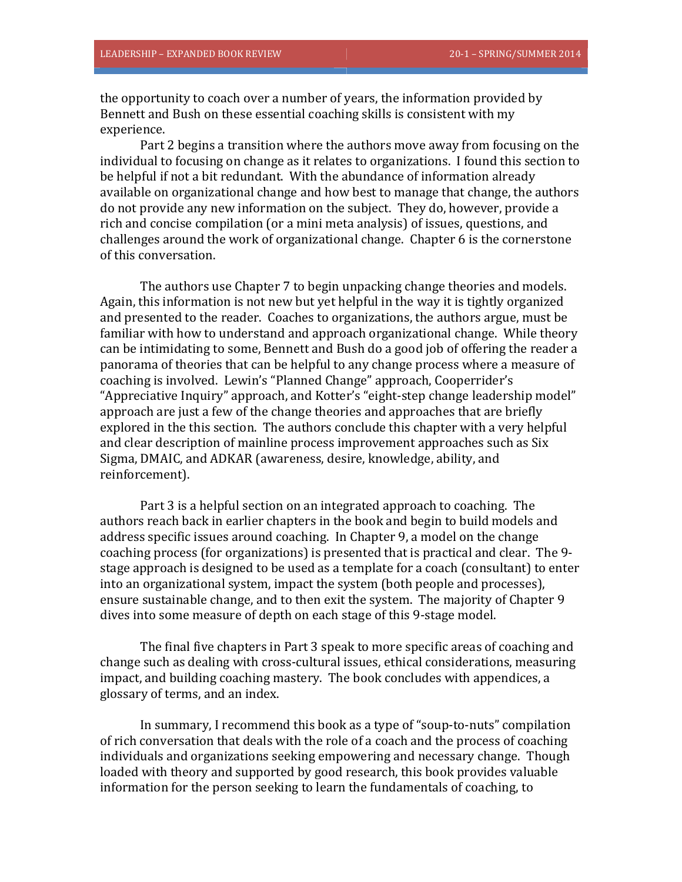the opportunity to coach over a number of years, the information provided by Bennett and Bush on these essential coaching skills is consistent with my experience. 

Part 2 begins a transition where the authors move away from focusing on the individual to focusing on change as it relates to organizations. I found this section to be helpful if not a bit redundant. With the abundance of information already available on organizational change and how best to manage that change, the authors do not provide any new information on the subject. They do, however, provide a rich and concise compilation (or a mini meta analysis) of issues, questions, and challenges around the work of organizational change. Chapter 6 is the cornerstone of this conversation.

The authors use Chapter 7 to begin unpacking change theories and models. Again, this information is not new but yet helpful in the way it is tightly organized and presented to the reader. Coaches to organizations, the authors argue, must be familiar with how to understand and approach organizational change. While theory can be intimidating to some, Bennett and Bush do a good job of offering the reader a panorama of theories that can be helpful to any change process where a measure of coaching is involved. Lewin's "Planned Change" approach, Cooperrider's "Appreciative Inquiry" approach, and Kotter's "eight-step change leadership model" approach are just a few of the change theories and approaches that are briefly explored in the this section. The authors conclude this chapter with a very helpful and clear description of mainline process improvement approaches such as Six Sigma, DMAIC, and ADKAR (awareness, desire, knowledge, ability, and reinforcement). 

Part 3 is a helpful section on an integrated approach to coaching. The authors reach back in earlier chapters in the book and begin to build models and address specific issues around coaching. In Chapter 9, a model on the change coaching process (for organizations) is presented that is practical and clear. The 9stage approach is designed to be used as a template for a coach (consultant) to enter into an organizational system, impact the system (both people and processes), ensure sustainable change, and to then exit the system. The majority of Chapter 9 dives into some measure of depth on each stage of this 9-stage model.

The final five chapters in Part 3 speak to more specific areas of coaching and change such as dealing with cross-cultural issues, ethical considerations, measuring impact, and building coaching mastery. The book concludes with appendices, a glossary of terms, and an index.

In summary, I recommend this book as a type of "soup-to-nuts" compilation of rich conversation that deals with the role of a coach and the process of coaching individuals and organizations seeking empowering and necessary change. Though loaded with theory and supported by good research, this book provides valuable information for the person seeking to learn the fundamentals of coaching, to